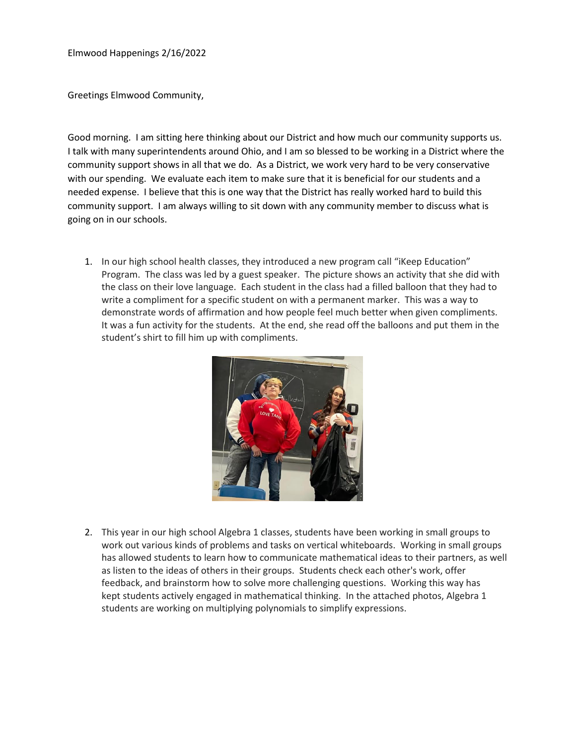Elmwood Happenings 2/16/2022

Greetings Elmwood Community,

Good morning. I am sitting here thinking about our District and how much our community supports us. I talk with many superintendents around Ohio, and I am so blessed to be working in a District where the community support shows in all that we do. As a District, we work very hard to be very conservative with our spending. We evaluate each item to make sure that it is beneficial for our students and a needed expense. I believe that this is one way that the District has really worked hard to build this community support. I am always willing to sit down with any community member to discuss what is going on in our schools.

1. In our high school health classes, they introduced a new program call "iKeep Education" Program. The class was led by a guest speaker. The picture shows an activity that she did with the class on their love language. Each student in the class had a filled balloon that they had to write a compliment for a specific student on with a permanent marker. This was a way to demonstrate words of affirmation and how people feel much better when given compliments. It was a fun activity for the students. At the end, she read off the balloons and put them in the student's shirt to fill him up with compliments.



2. This year in our high school Algebra 1 classes, students have been working in small groups to work out various kinds of problems and tasks on vertical whiteboards. Working in small groups has allowed students to learn how to communicate mathematical ideas to their partners, as well as listen to the ideas of others in their groups. Students check each other's work, offer feedback, and brainstorm how to solve more challenging questions. Working this way has kept students actively engaged in mathematical thinking. In the attached photos, Algebra 1 students are working on multiplying polynomials to simplify expressions.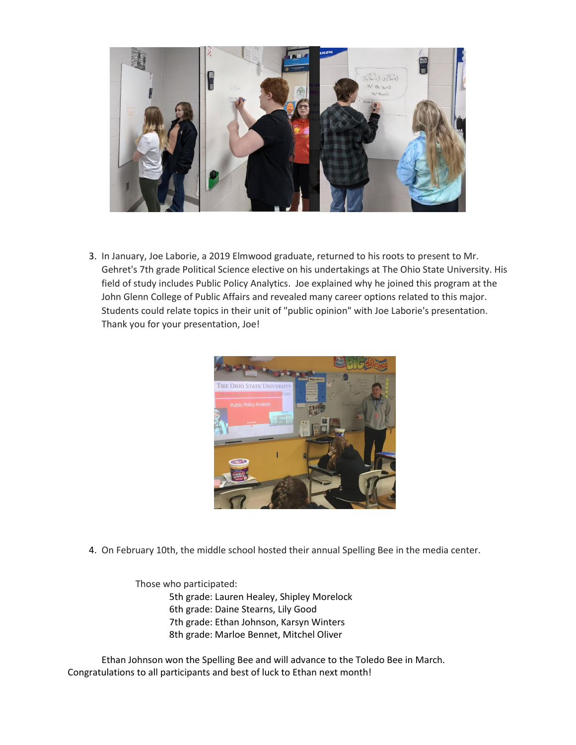

3. In January, Joe Laborie, a 2019 Elmwood graduate, returned to his roots to present to Mr. Gehret's 7th grade Political Science elective on his undertakings at The Ohio State University. His field of study includes Public Policy Analytics. Joe explained why he joined this program at the John Glenn College of Public Affairs and revealed many career options related to this major. Students could relate topics in their unit of "public opinion" with Joe Laborie's presentation. Thank you for your presentation, Joe!



4. On February 10th, the middle school hosted their annual Spelling Bee in the media center.

Those who participated: 5th grade: Lauren Healey, Shipley Morelock 6th grade: Daine Stearns, Lily Good 7th grade: Ethan Johnson, Karsyn Winters 8th grade: Marloe Bennet, Mitchel Oliver

Ethan Johnson won the Spelling Bee and will advance to the Toledo Bee in March. Congratulations to all participants and best of luck to Ethan next month!